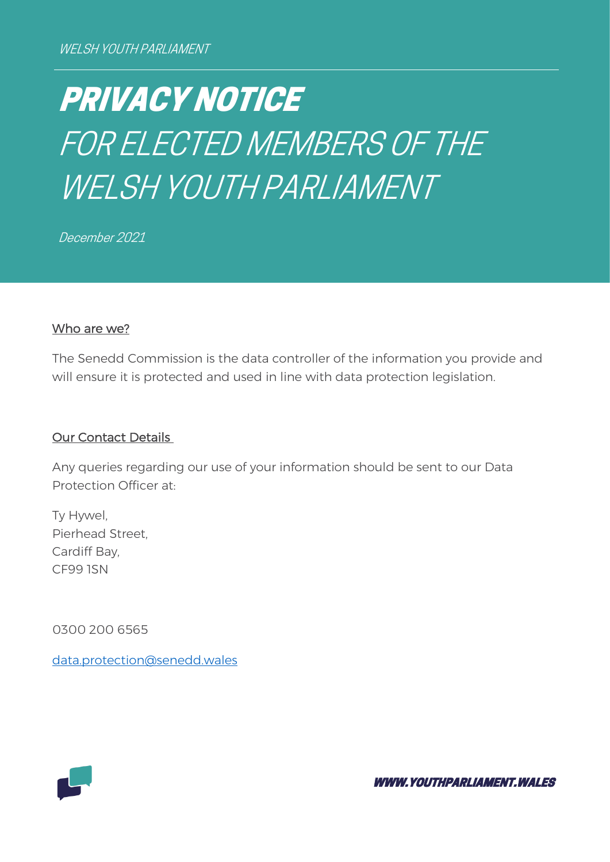# PRIVACY NOTICE FOR ELECTED MEMBERS OF THE WELSH YOUTH PARLIAMENT

December 2021

#### Who are we?

The Senedd Commission is the data controller of the information you provide and will ensure it is protected and used in line with data protection legislation.

#### Our Contact Details

Any queries regarding our use of your information should be sent to our Data Protection Officer at:

Ty Hywel, Pierhead Street, Cardiff Bay, CF99 1SN

0300 200 6565

[data.protection@senedd.wales](mailto:data.protection@senedd.wales)



WWW.YOUTHPARLIAMENT.WALES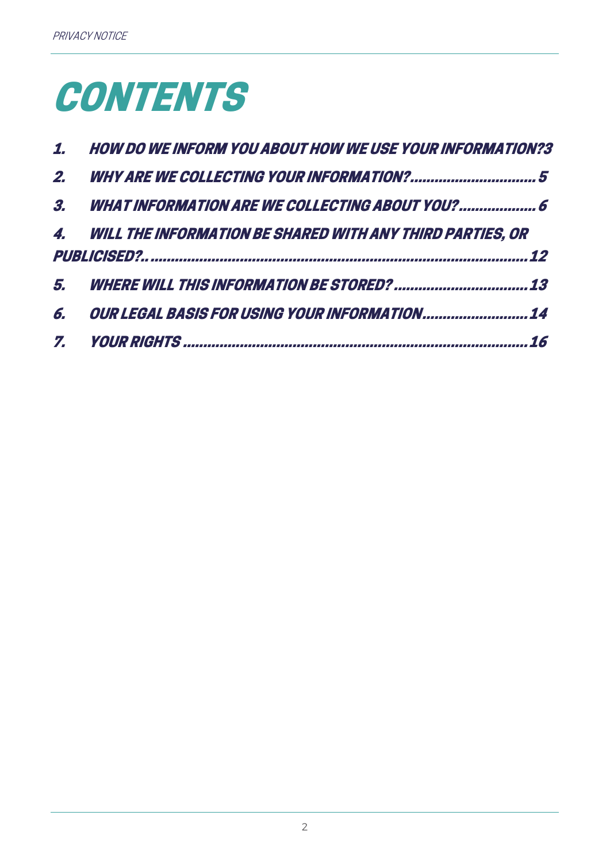# **CONTENTS**

|    | 1. HOW DO WE INFORM YOU ABOUT HOW WE USE YOUR INFORMATION?3  |
|----|--------------------------------------------------------------|
| 2. |                                                              |
|    | 3. WHAT INFORMATION ARE WE COLLECTING ABOUT YOU?  6          |
|    | 4. WILL THE INFORMATION BE SHARED WITH ANY THIRD PARTIES, OR |
|    | 12                                                           |
|    |                                                              |
| 6. | <i>OUR LEGAL BASIS FOR USING YOUR INFORMATION 14</i>         |
|    |                                                              |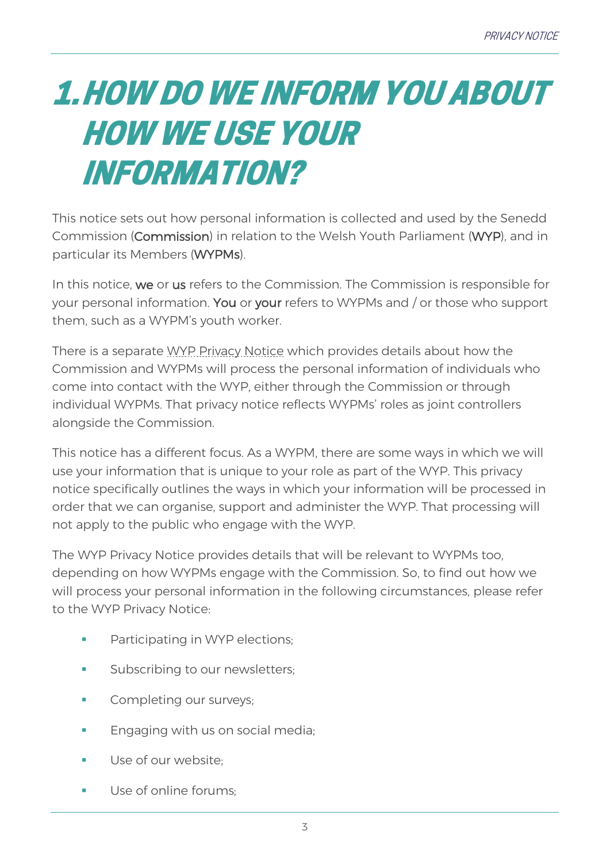## <span id="page-2-0"></span>1.HOW DO WE INFORM YOU ABOUT HOW WE USE YOUR INFORMATION?

This notice sets out how personal information is collected and used by the Senedd Commission (Commission) in relation to the Welsh Youth Parliament (WYP), and in particular its Members (WYPMs).

In this notice, we or us refers to the Commission. The Commission is responsible for your personal information. You or your refers to WYPMs and / or those who support them, such as a WYPM's youth worker.

There is a separate [WYP Privacy Notice](https://www.youthparliament.wales/privacy) which provides details about how the Commission and WYPMs will process the personal information of individuals who come into contact with the WYP, either through the Commission or through individual WYPMs. That privacy notice reflects WYPMs' roles as joint controllers alongside the Commission.

This notice has a different focus. As a WYPM, there are some ways in which we will use your information that is unique to your role as part of the WYP. This privacy notice specifically outlines the ways in which your information will be processed in order that we can organise, support and administer the WYP. That processing will not apply to the public who engage with the WYP.

The WYP Privacy Notice provides details that will be relevant to WYPMs too, depending on how WYPMs engage with the Commission. So, to find out how we will process your personal information in the following circumstances, please refer to the WYP Privacy Notice:

- **•** Participating in WYP elections;
- Subscribing to our newsletters;
- Completing our surveys:
- **Engaging with us on social media;**
- Use of our website:
- Use of online forums: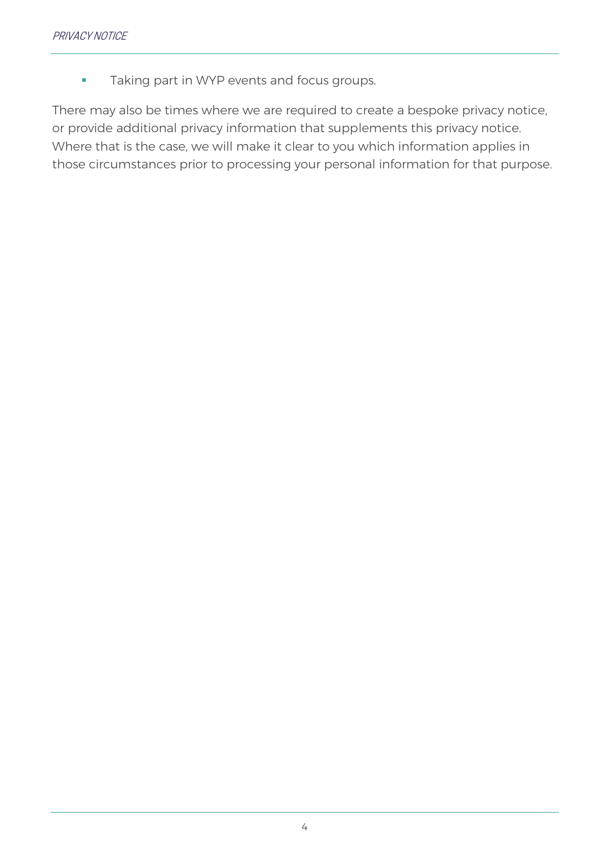**Taking part in WYP events and focus groups.** 

There may also be times where we are required to create a bespoke privacy notice, or provide additional privacy information that supplements this privacy notice. Where that is the case, we will make it clear to you which information applies in those circumstances prior to processing your personal information for that purpose.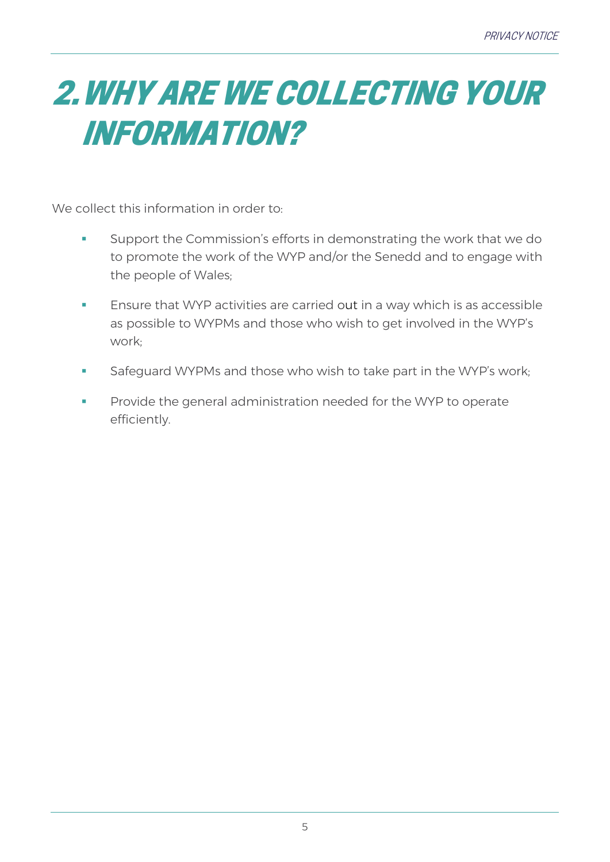## <span id="page-4-0"></span>2.WHY ARE WE COLLECTING YOUR INFORMATION?

We collect this information in order to:

- **EXECT** Support the Commission's efforts in demonstrating the work that we do to promote the work of the WYP and/or the Senedd and to engage with the people of Wales;
- Ensure that WYP activities are carried out in a way which is as accessible as possible to WYPMs and those who wish to get involved in the WYP's work;
- Safeguard WYPMs and those who wish to take part in the WYP's work;
- **•** Provide the general administration needed for the WYP to operate efficiently.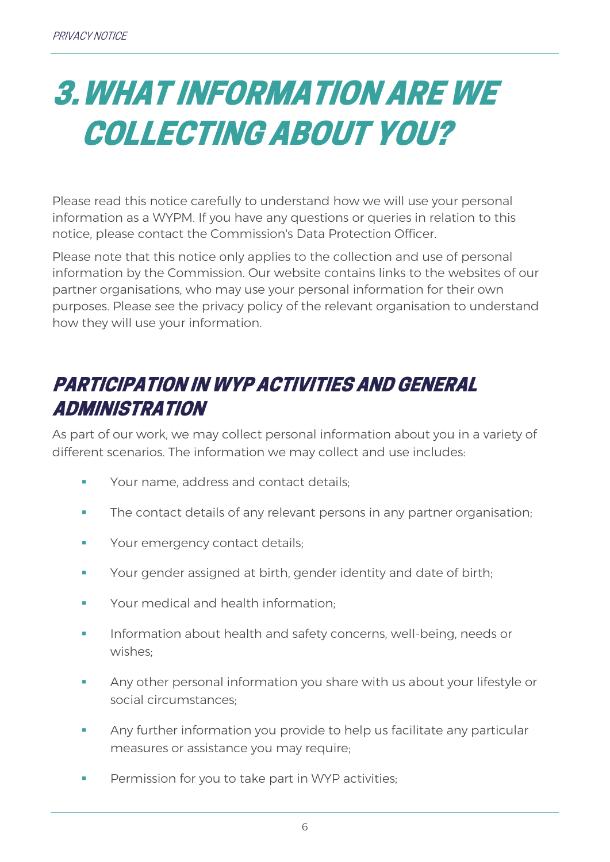### <span id="page-5-0"></span>3.WHAT INFORMATION ARE WE COLLECTING ABOUT YOU?

Please read this notice carefully to understand how we will use your personal information as a WYPM. If you have any questions or queries in relation to this notice, please contact the Commission's Data Protection Officer.

Please note that this notice only applies to the collection and use of personal information by the Commission. Our website contains links to the websites of our partner organisations, who may use your personal information for their own purposes. Please see the privacy policy of the relevant organisation to understand how they will use your information.

#### PARTICIPATION IN WYP ACTIVITIES AND GENERAL ADMINISTRATION

As part of our work, we may collect personal information about you in a variety of different scenarios. The information we may collect and use includes:

- **Your name, address and contact details:**
- **The contact details of any relevant persons in any partner organisation;**
- **Your emergency contact details;**
- **•** Your gender assigned at birth, gender identity and date of birth;
- Your medical and health information:
- Information about health and safety concerns, well-being, needs or wishes;
- Any other personal information you share with us about your lifestyle or social circumstances;
- Any further information you provide to help us facilitate any particular measures or assistance you may require;
- Permission for you to take part in WYP activities;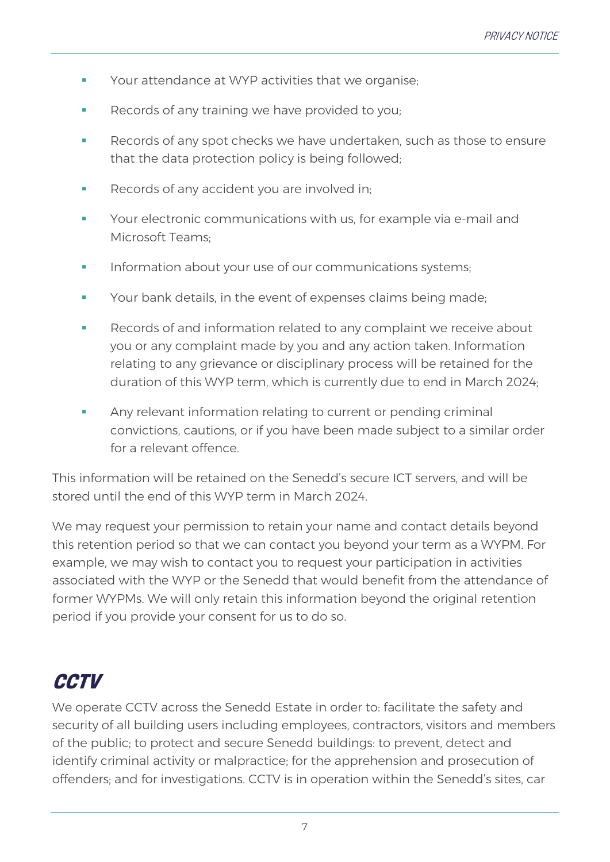- Your attendance at WYP activities that we organise;
- Records of any training we have provided to you;
- Records of any spot checks we have undertaken, such as those to ensure that the data protection policy is being followed;
- **Records of any accident you are involved in;**
- Your electronic communications with us, for example via e-mail and Microsoft Teams;
- Information about your use of our communications systems;
- **Your bank details, in the event of expenses claims being made;**
- Records of and information related to any complaint we receive about you or any complaint made by you and any action taken. Information relating to any grievance or disciplinary process will be retained for the duration of this WYP term, which is currently due to end in March 2024;
- **EXED:** Any relevant information relating to current or pending criminal convictions, cautions, or if you have been made subject to a similar order for a relevant offence.

This information will be retained on the Senedd's secure ICT servers, and will be stored until the end of this WYP term in March 2024.

We may request your permission to retain your name and contact details beyond this retention period so that we can contact you beyond your term as a WYPM. For example, we may wish to contact you to request your participation in activities associated with the WYP or the Senedd that would benefit from the attendance of former WYPMs. We will only retain this information beyond the original retention period if you provide your consent for us to do so.

#### **CCTV**

We operate CCTV across the Senedd Estate in order to: facilitate the safety and security of all building users including employees, contractors, visitors and members of the public; to protect and secure Senedd buildings: to prevent, detect and identify criminal activity or malpractice; for the apprehension and prosecution of offenders; and for investigations. CCTV is in operation within the Senedd's sites, car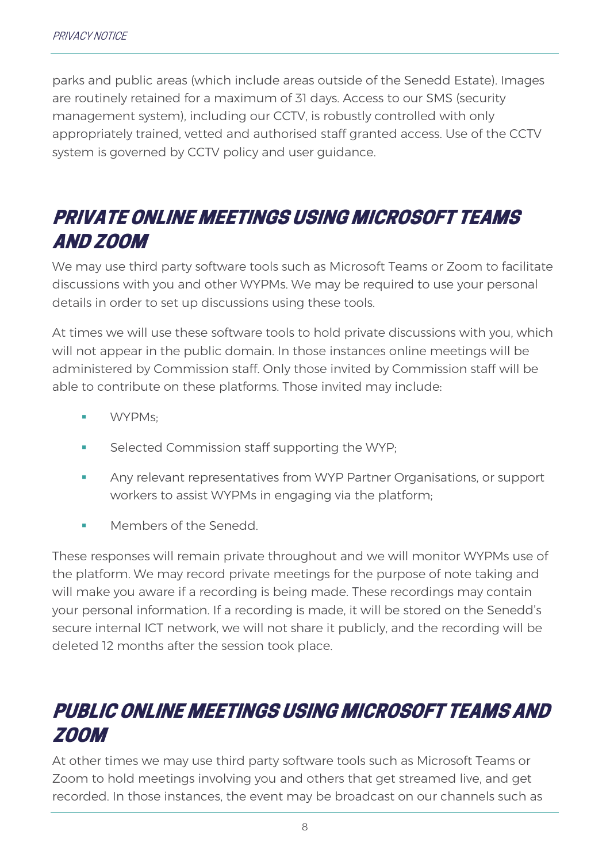parks and public areas (which include areas outside of the Senedd Estate). Images are routinely retained for a maximum of 31 days. Access to our SMS (security management system), including our CCTV, is robustly controlled with only appropriately trained, vetted and authorised staff granted access. Use of the CCTV system is governed by CCTV policy and user guidance.

#### PRIVATE ONLINE MEETINGS USING MICROSOFT TEAMS AND ZOOM

We may use third party software tools such as Microsoft Teams or Zoom to facilitate discussions with you and other WYPMs. We may be required to use your personal details in order to set up discussions using these tools.

At times we will use these software tools to hold private discussions with you, which will not appear in the public domain. In those instances online meetings will be administered by Commission staff. Only those invited by Commission staff will be able to contribute on these platforms. Those invited may include:

- WYPMs:
- Selected Commission staff supporting the WYP:
- **EXECT** Any relevant representatives from WYP Partner Organisations, or support workers to assist WYPMs in engaging via the platform;
- Members of the Senedd.

These responses will remain private throughout and we will monitor WYPMs use of the platform. We may record private meetings for the purpose of note taking and will make you aware if a recording is being made. These recordings may contain your personal information. If a recording is made, it will be stored on the Senedd's secure internal ICT network, we will not share it publicly, and the recording will be deleted 12 months after the session took place.

#### PUBLIC ONLINE MEETINGS USING MICROSOFT TEAMS AND ZOOM

At other times we may use third party software tools such as Microsoft Teams or Zoom to hold meetings involving you and others that get streamed live, and get recorded. In those instances, the event may be broadcast on our channels such as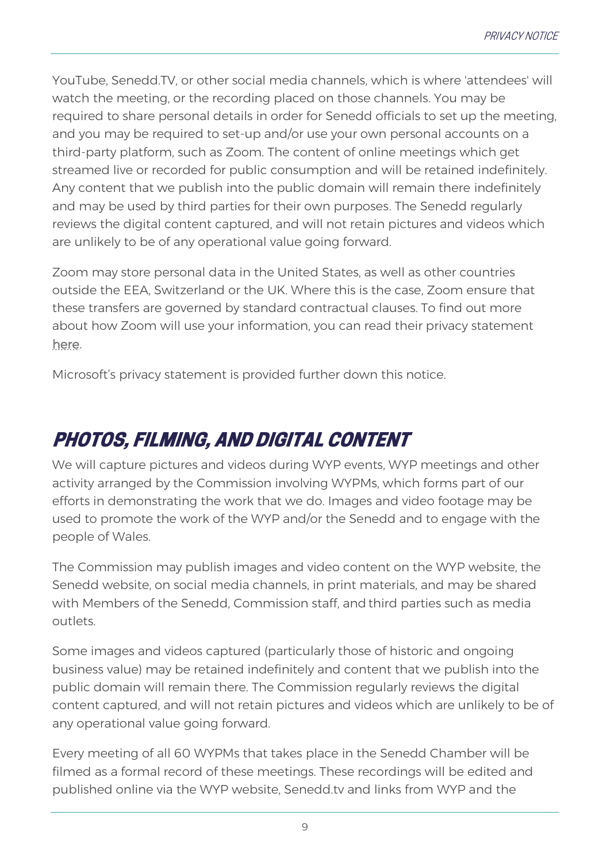YouTube, Senedd.TV, or other social media channels, which is where 'attendees' will watch the meeting, or the recording placed on those channels. You may be required to share personal details in order for Senedd officials to set up the meeting, and you may be required to set-up and/or use your own personal accounts on a third-party platform, such as Zoom. The content of online meetings which get streamed live or recorded for public consumption and will be retained indefinitely. Any content that we publish into the public domain will remain there indefinitely and may be used by third parties for their own purposes. The Senedd regularly reviews the digital content captured, and will not retain pictures and videos which are unlikely to be of any operational value going forward.

Zoom may store personal data in the United States, as well as other countries outside the EEA, Switzerland or the UK. Where this is the case, Zoom ensure that these transfers are governed by standard contractual clauses. To find out more about how Zoom will use your information, you can read their privacy statement [here.](https://explore.zoom.us/docs/en-us/privacy.html)

Microsoft's privacy statement is provided further down this notice.

### PHOTOS, FILMING, AND DIGITAL CONTENT

We will capture pictures and videos during WYP events, WYP meetings and other activity arranged by the Commission involving WYPMs, which forms part of our efforts in demonstrating the work that we do. Images and video footage may be used to promote the work of the WYP and/or the Senedd and to engage with the people of Wales.

The Commission may publish images and video content on the WYP website, the Senedd website, on social media channels, in print materials, and may be shared with Members of the Senedd, Commission staff, and third parties such as media outlets.

Some images and videos captured (particularly those of historic and ongoing business value) may be retained indefinitely and content that we publish into the public domain will remain there. The Commission regularly reviews the digital content captured, and will not retain pictures and videos which are unlikely to be of any operational value going forward.

Every meeting of all 60 WYPMs that takes place in the Senedd Chamber will be filmed as a formal record of these meetings. These recordings will be edited and published online via the WYP website, Senedd.tv and links from WYP and the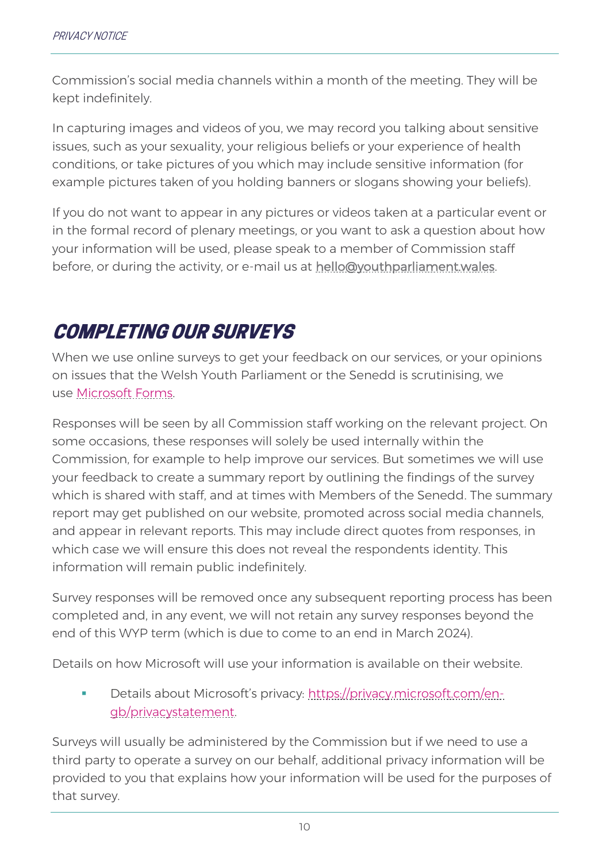Commission's social media channels within a month of the meeting. They will be kept indefinitely.

In capturing images and videos of you, we may record you talking about sensitive issues, such as your sexuality, your religious beliefs or your experience of health conditions, or take pictures of you which may include sensitive information (for example pictures taken of you holding banners or slogans showing your beliefs).

If you do not want to appear in any pictures or videos taken at a particular event or in the formal record of plenary meetings, or you want to ask a question about how your information will be used, please speak to a member of Commission staff before, or during the activity, or e-mail us at [hello@youthparliament.wales.](mailto:hello@youthparliament.wales)

#### COMPLETING OUR SURVEYS

When we use online surveys to get your feedback on our services, or your opinions on issues that the Welsh Youth Parliament or the Senedd is scrutinising, we use [Microsoft Forms.](https://forms.office.com/)

Responses will be seen by all Commission staff working on the relevant project. On some occasions, these responses will solely be used internally within the Commission, for example to help improve our services. But sometimes we will use your feedback to create a summary report by outlining the findings of the survey which is shared with staff, and at times with Members of the Senedd. The summary report may get published on our website, promoted across social media channels, and appear in relevant reports. This may include direct quotes from responses, in which case we will ensure this does not reveal the respondents identity. This information will remain public indefinitely.

Survey responses will be removed once any subsequent reporting process has been completed and, in any event, we will not retain any survey responses beyond the end of this WYP term (which is due to come to an end in March 2024).

Details on how Microsoft will use your information is available on their website.

Details about Microsoft's privacy: [https://privacy.microsoft.com/en](https://privacy.microsoft.com/en-gb/privacystatement)[gb/privacystatement.](https://privacy.microsoft.com/en-gb/privacystatement)

Surveys will usually be administered by the Commission but if we need to use a third party to operate a survey on our behalf, additional privacy information will be provided to you that explains how your information will be used for the purposes of that survey.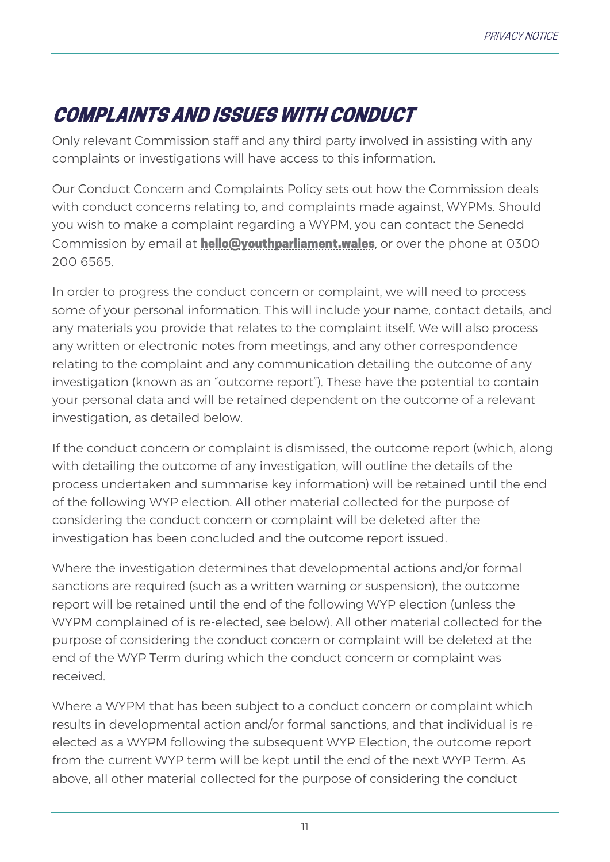### COMPLAINTS AND ISSUES WITH CONDUCT

Only relevant Commission staff and any third party involved in assisting with any complaints or investigations will have access to this information.

Our Conduct Concern and Complaints Policy sets out how the Commission deals with conduct concerns relating to, and complaints made against, WYPMs. Should you wish to make a complaint regarding a WYPM, you can contact the Senedd Commission by email at **[hello@youthparliament.wales](mailto:hello@youthparliament.wales)**, or over the phone at 0300 200 6565.

In order to progress the conduct concern or complaint, we will need to process some of your personal information. This will include your name, contact details, and any materials you provide that relates to the complaint itself. We will also process any written or electronic notes from meetings, and any other correspondence relating to the complaint and any communication detailing the outcome of any investigation (known as an "outcome report"). These have the potential to contain your personal data and will be retained dependent on the outcome of a relevant investigation, as detailed below.

If the conduct concern or complaint is dismissed, the outcome report (which, along with detailing the outcome of any investigation, will outline the details of the process undertaken and summarise key information) will be retained until the end of the following WYP election. All other material collected for the purpose of considering the conduct concern or complaint will be deleted after the investigation has been concluded and the outcome report issued.

Where the investigation determines that developmental actions and/or formal sanctions are required (such as a written warning or suspension), the outcome report will be retained until the end of the following WYP election (unless the WYPM complained of is re-elected, see below). All other material collected for the purpose of considering the conduct concern or complaint will be deleted at the end of the WYP Term during which the conduct concern or complaint was received.

Where a WYPM that has been subject to a conduct concern or complaint which results in developmental action and/or formal sanctions, and that individual is reelected as a WYPM following the subsequent WYP Election, the outcome report from the current WYP term will be kept until the end of the next WYP Term. As above, all other material collected for the purpose of considering the conduct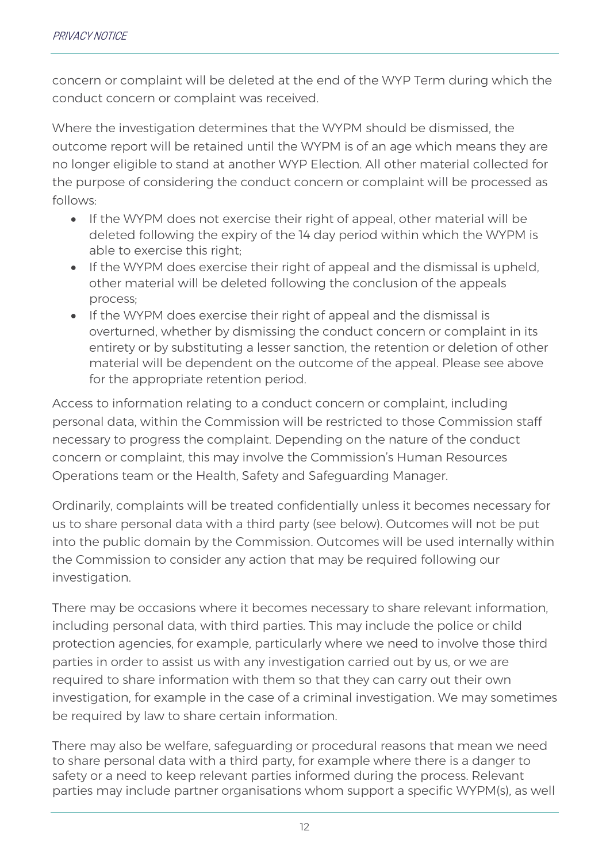concern or complaint will be deleted at the end of the WYP Term during which the conduct concern or complaint was received.

Where the investigation determines that the WYPM should be dismissed, the outcome report will be retained until the WYPM is of an age which means they are no longer eligible to stand at another WYP Election. All other material collected for the purpose of considering the conduct concern or complaint will be processed as follows:

- If the WYPM does not exercise their right of appeal, other material will be deleted following the expiry of the 14 day period within which the WYPM is able to exercise this right;
- If the WYPM does exercise their right of appeal and the dismissal is upheld, other material will be deleted following the conclusion of the appeals process;
- If the WYPM does exercise their right of appeal and the dismissal is overturned, whether by dismissing the conduct concern or complaint in its entirety or by substituting a lesser sanction, the retention or deletion of other material will be dependent on the outcome of the appeal. Please see above for the appropriate retention period.

Access to information relating to a conduct concern or complaint, including personal data, within the Commission will be restricted to those Commission staff necessary to progress the complaint. Depending on the nature of the conduct concern or complaint, this may involve the Commission's Human Resources Operations team or the Health, Safety and Safeguarding Manager.

Ordinarily, complaints will be treated confidentially unless it becomes necessary for us to share personal data with a third party (see below). Outcomes will not be put into the public domain by the Commission. Outcomes will be used internally within the Commission to consider any action that may be required following our investigation.

There may be occasions where it becomes necessary to share relevant information, including personal data, with third parties. This may include the police or child protection agencies, for example, particularly where we need to involve those third parties in order to assist us with any investigation carried out by us, or we are required to share information with them so that they can carry out their own investigation, for example in the case of a criminal investigation. We may sometimes be required by law to share certain information.

There may also be welfare, safeguarding or procedural reasons that mean we need to share personal data with a third party, for example where there is a danger to safety or a need to keep relevant parties informed during the process. Relevant parties may include partner organisations whom support a specific WYPM(s), as well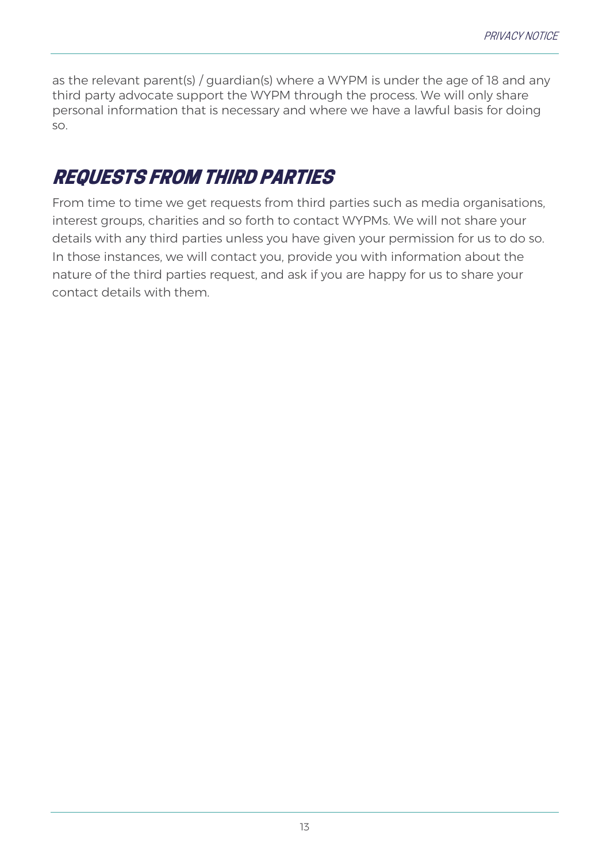as the relevant parent(s) / guardian(s) where a WYPM is under the age of 18 and any third party advocate support the WYPM through the process. We will only share personal information that is necessary and where we have a lawful basis for doing so.

#### REQUESTS FROM THIRD PARTIES

From time to time we get requests from third parties such as media organisations, interest groups, charities and so forth to contact WYPMs. We will not share your details with any third parties unless you have given your permission for us to do so. In those instances, we will contact you, provide you with information about the nature of the third parties request, and ask if you are happy for us to share your contact details with them.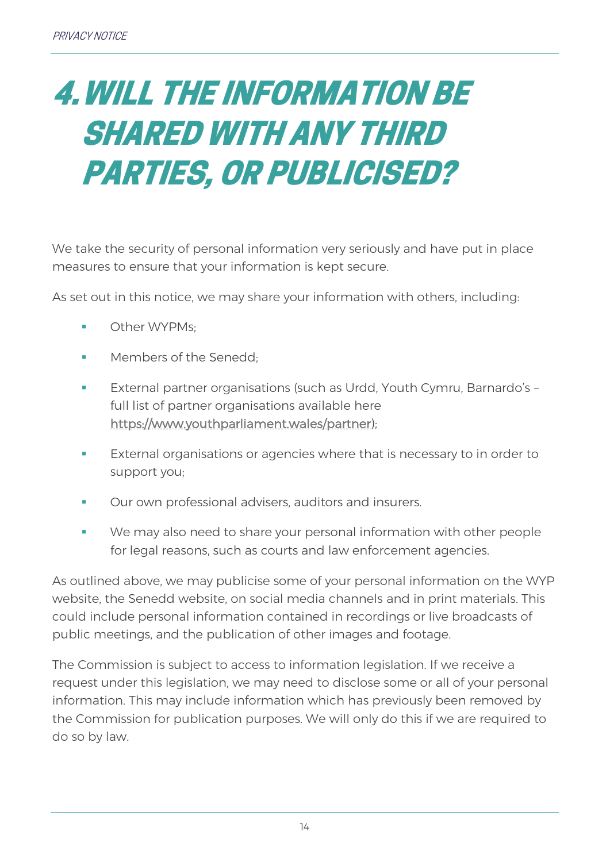### <span id="page-13-0"></span>4.WILL THE INFORMATION BE SHARED WITH ANY THIRD PARTIES, OR PUBLICISED?

We take the security of personal information very seriously and have put in place measures to ensure that your information is kept secure.

As set out in this notice, we may share your information with others, including:

- Other WYPMs:
- Members of the Senedd:
- External partner organisations (such as Urdd, Youth Cymru, Barnardo's full list of partner organisations available here [https://www.youthparliament.wales/partner\)](https://www.youthparliament.wales/partner);
- External organisations or agencies where that is necessary to in order to support you;
- Our own professional advisers, auditors and insurers.
- We may also need to share your personal information with other people for legal reasons, such as courts and law enforcement agencies.

As outlined above, we may publicise some of your personal information on the WYP website, the Senedd website, on social media channels and in print materials. This could include personal information contained in recordings or live broadcasts of public meetings, and the publication of other images and footage.

The Commission is subject to access to information legislation. If we receive a request under this legislation, we may need to disclose some or all of your personal information. This may include information which has previously been removed by the Commission for publication purposes. We will only do this if we are required to do so by law.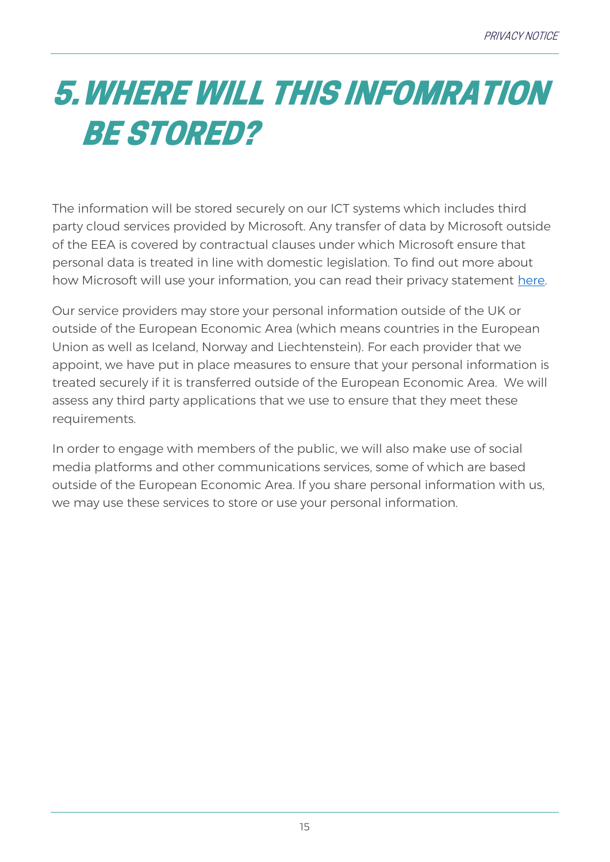## <span id="page-14-0"></span>5.WHERE WILL THIS INFOMRATION BE STORED?

The information will be stored securely on our ICT systems which includes third party cloud services provided by Microsoft. Any transfer of data by Microsoft outside of the EEA is covered by contractual clauses under which Microsoft ensure that personal data is treated in line with domestic legislation. To find out more about how Microsoft will use your information, you can read their privacy statement [here.](https://www.microsoft.com/en-gb/trust-center/privacy?SilentAuth=1)

Our service providers may store your personal information outside of the UK or outside of the European Economic Area (which means countries in the European Union as well as Iceland, Norway and Liechtenstein). For each provider that we appoint, we have put in place measures to ensure that your personal information is treated securely if it is transferred outside of the European Economic Area. We will assess any third party applications that we use to ensure that they meet these requirements.

In order to engage with members of the public, we will also make use of social media platforms and other communications services, some of which are based outside of the European Economic Area. If you share personal information with us, we may use these services to store or use your personal information.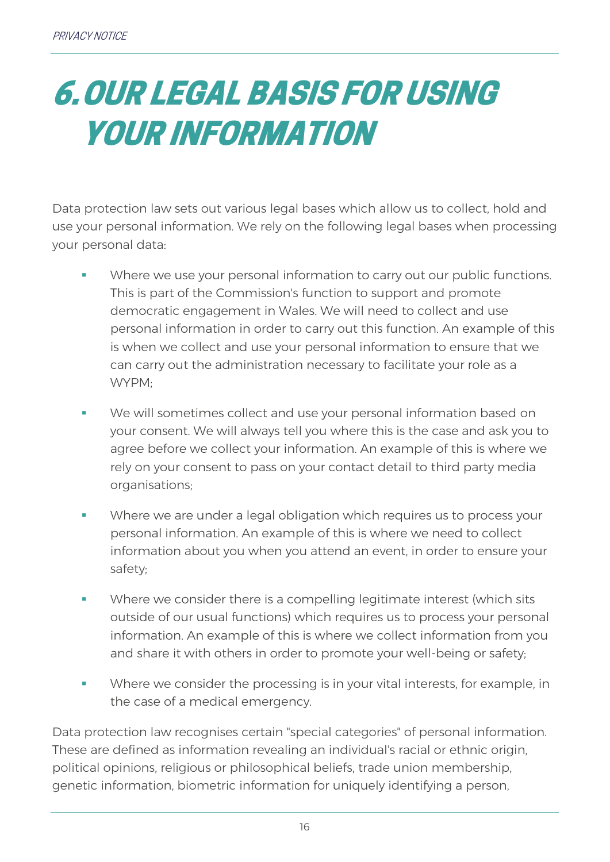### <span id="page-15-0"></span>6.OUR LEGAL BASIS FOR USING YOUR INFORMATION

Data protection law sets out various legal bases which allow us to collect, hold and use your personal information. We rely on the following legal bases when processing your personal data:

- Where we use your personal information to carry out our public functions. This is part of the Commission's function to support and promote democratic engagement in Wales. We will need to collect and use personal information in order to carry out this function. An example of this is when we collect and use your personal information to ensure that we can carry out the administration necessary to facilitate your role as a WYPM;
- We will sometimes collect and use your personal information based on your consent. We will always tell you where this is the case and ask you to agree before we collect your information. An example of this is where we rely on your consent to pass on your contact detail to third party media organisations;
- **Where we are under a legal obligation which requires us to process your** personal information. An example of this is where we need to collect information about you when you attend an event, in order to ensure your safety;
- Where we consider there is a compelling legitimate interest (which sits outside of our usual functions) which requires us to process your personal information. An example of this is where we collect information from you and share it with others in order to promote your well-being or safety;
- Where we consider the processing is in your vital interests, for example, in the case of a medical emergency.

Data protection law recognises certain "special categories" of personal information. These are defined as information revealing an individual's racial or ethnic origin, political opinions, religious or philosophical beliefs, trade union membership, genetic information, biometric information for uniquely identifying a person,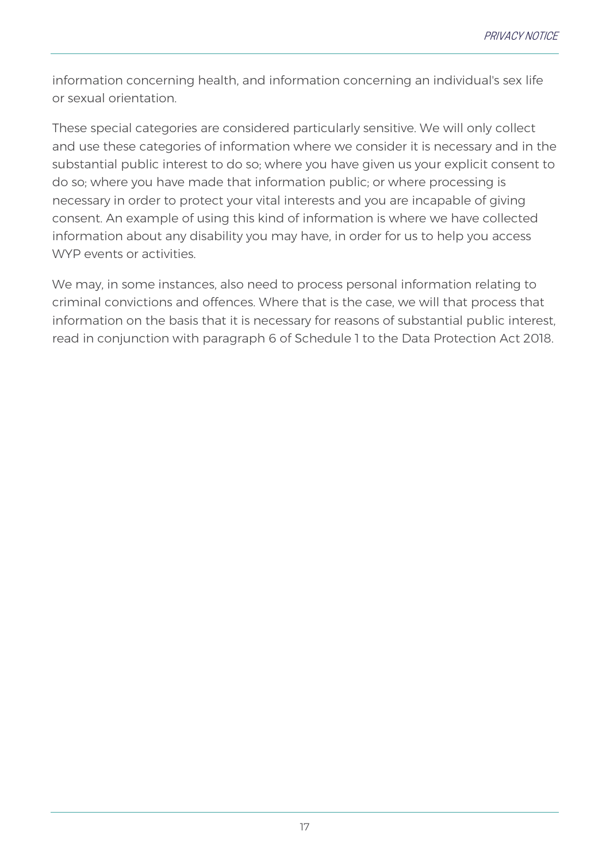information concerning health, and information concerning an individual's sex life or sexual orientation.

These special categories are considered particularly sensitive. We will only collect and use these categories of information where we consider it is necessary and in the substantial public interest to do so; where you have given us your explicit consent to do so; where you have made that information public; or where processing is necessary in order to protect your vital interests and you are incapable of giving consent. An example of using this kind of information is where we have collected information about any disability you may have, in order for us to help you access WYP events or activities.

We may, in some instances, also need to process personal information relating to criminal convictions and offences. Where that is the case, we will that process that information on the basis that it is necessary for reasons of substantial public interest, read in conjunction with paragraph 6 of Schedule 1 to the Data Protection Act 2018.